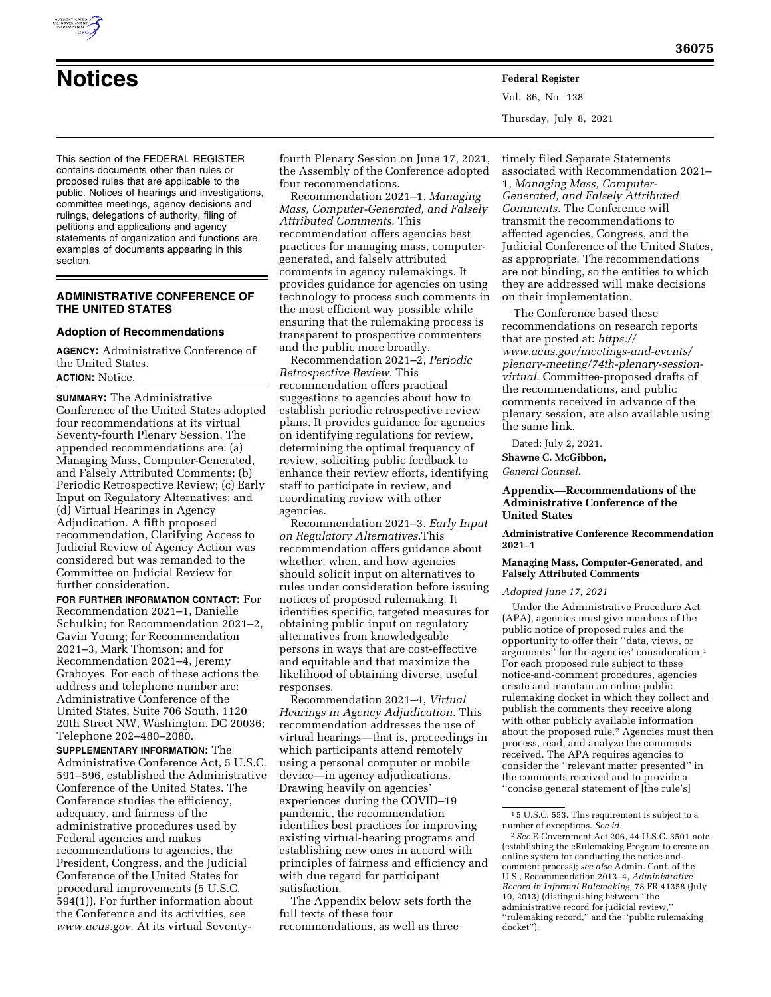This section of the FEDERAL REGISTER contains documents other than rules or proposed rules that are applicable to the public. Notices of hearings and investigations, committee meetings, agency decisions and rulings, delegations of authority, filing of petitions and applications and agency statements of organization and functions are examples of documents appearing in this section.

## **ADMINISTRATIVE CONFERENCE OF THE UNITED STATES**

# **Adoption of Recommendations**

**AGENCY:** Administrative Conference of the United States. **ACTION:** Notice.

**SUMMARY:** The Administrative Conference of the United States adopted four recommendations at its virtual Seventy-fourth Plenary Session. The appended recommendations are: (a) Managing Mass, Computer-Generated, and Falsely Attributed Comments; (b) Periodic Retrospective Review; (c) Early Input on Regulatory Alternatives; and (d) Virtual Hearings in Agency Adjudication. A fifth proposed recommendation, Clarifying Access to Judicial Review of Agency Action was considered but was remanded to the Committee on Judicial Review for further consideration.

**FOR FURTHER INFORMATION CONTACT:** For Recommendation 2021–1, Danielle Schulkin; for Recommendation 2021–2, Gavin Young; for Recommendation 2021–3, Mark Thomson; and for Recommendation 2021–4, Jeremy Graboyes. For each of these actions the address and telephone number are: Administrative Conference of the United States, Suite 706 South, 1120 20th Street NW, Washington, DC 20036; Telephone 202–480–2080.

**SUPPLEMENTARY INFORMATION:** The Administrative Conference Act, 5 U.S.C. 591–596, established the Administrative Conference of the United States. The Conference studies the efficiency, adequacy, and fairness of the administrative procedures used by Federal agencies and makes recommendations to agencies, the President, Congress, and the Judicial Conference of the United States for procedural improvements (5 U.S.C. 594(1)). For further information about the Conference and its activities, see *[www.acus.gov](http://www.acus.gov)*. At its virtual Seventyfourth Plenary Session on June 17, 2021, the Assembly of the Conference adopted four recommendations.

**Notices Federal Register**

Recommendation 2021–1, *Managing Mass, Computer-Generated, and Falsely Attributed Comments*. This recommendation offers agencies best practices for managing mass, computergenerated, and falsely attributed comments in agency rulemakings. It provides guidance for agencies on using technology to process such comments in the most efficient way possible while ensuring that the rulemaking process is transparent to prospective commenters and the public more broadly.

Recommendation 2021–2, *Periodic Retrospective Review*. This recommendation offers practical suggestions to agencies about how to establish periodic retrospective review plans. It provides guidance for agencies on identifying regulations for review, determining the optimal frequency of review, soliciting public feedback to enhance their review efforts, identifying staff to participate in review, and coordinating review with other agencies.

Recommendation 2021–3, *Early Input on Regulatory Alternatives*.This recommendation offers guidance about whether, when, and how agencies should solicit input on alternatives to rules under consideration before issuing notices of proposed rulemaking. It identifies specific, targeted measures for obtaining public input on regulatory alternatives from knowledgeable persons in ways that are cost-effective and equitable and that maximize the likelihood of obtaining diverse, useful responses.

Recommendation 2021–4, *Virtual Hearings in Agency Adjudication*. This recommendation addresses the use of virtual hearings—that is, proceedings in which participants attend remotely using a personal computer or mobile device—in agency adjudications. Drawing heavily on agencies' experiences during the COVID–19 pandemic, the recommendation identifies best practices for improving existing virtual-hearing programs and establishing new ones in accord with principles of fairness and efficiency and with due regard for participant satisfaction.

The Appendix below sets forth the full texts of these four recommendations, as well as three

timely filed Separate Statements associated with Recommendation 2021– 1, *Managing Mass, Computer-Generated, and Falsely Attributed Comments*. The Conference will transmit the recommendations to affected agencies, Congress, and the Judicial Conference of the United States, as appropriate. The recommendations are not binding, so the entities to which they are addressed will make decisions on their implementation.

The Conference based these recommendations on research reports that are posted at: *[https://](https://www.acus.gov/meetings-and-events/plenary-meeting/74th-plenary-session-virtual) www.acus.gov/meetings-and-events/ [plenary-meeting/74th-plenary-session](https://www.acus.gov/meetings-and-events/plenary-meeting/74th-plenary-session-virtual)[virtual](https://www.acus.gov/meetings-and-events/plenary-meeting/74th-plenary-session-virtual)*. Committee-proposed drafts of the recommendations, and public comments received in advance of the plenary session, are also available using the same link.

Dated: July 2, 2021. **Shawne C. McGibbon,** 

*General Counsel.* 

Vol. 86, No. 128

Thursday, July 8, 2021

## **Appendix—Recommendations of the Administrative Conference of the United States**

**Administrative Conference Recommendation 2021–1** 

## **Managing Mass, Computer-Generated, and Falsely Attributed Comments**

#### *Adopted June 17, 2021*

Under the Administrative Procedure Act (APA), agencies must give members of the public notice of proposed rules and the opportunity to offer their ''data, views, or arguments'' for the agencies' consideration.1 For each proposed rule subject to these notice-and-comment procedures, agencies create and maintain an online public rulemaking docket in which they collect and publish the comments they receive along with other publicly available information about the proposed rule.2 Agencies must then process, read, and analyze the comments received. The APA requires agencies to consider the ''relevant matter presented'' in the comments received and to provide a ''concise general statement of [the rule's]



<sup>1</sup> 5 U.S.C. 553. This requirement is subject to a number of exceptions. *See id.* 

<sup>2</sup>*See* E-Government Act 206, 44 U.S.C. 3501 note (establishing the eRulemaking Program to create an online system for conducting the notice-andcomment process); *see also* Admin. Conf. of the U.S., Recommendation 2013–4, *Administrative Record in Informal Rulemaking,* 78 FR 41358 (July 10, 2013) (distinguishing between ''the administrative record for judicial review,'' ''rulemaking record,'' and the ''public rulemaking docket'').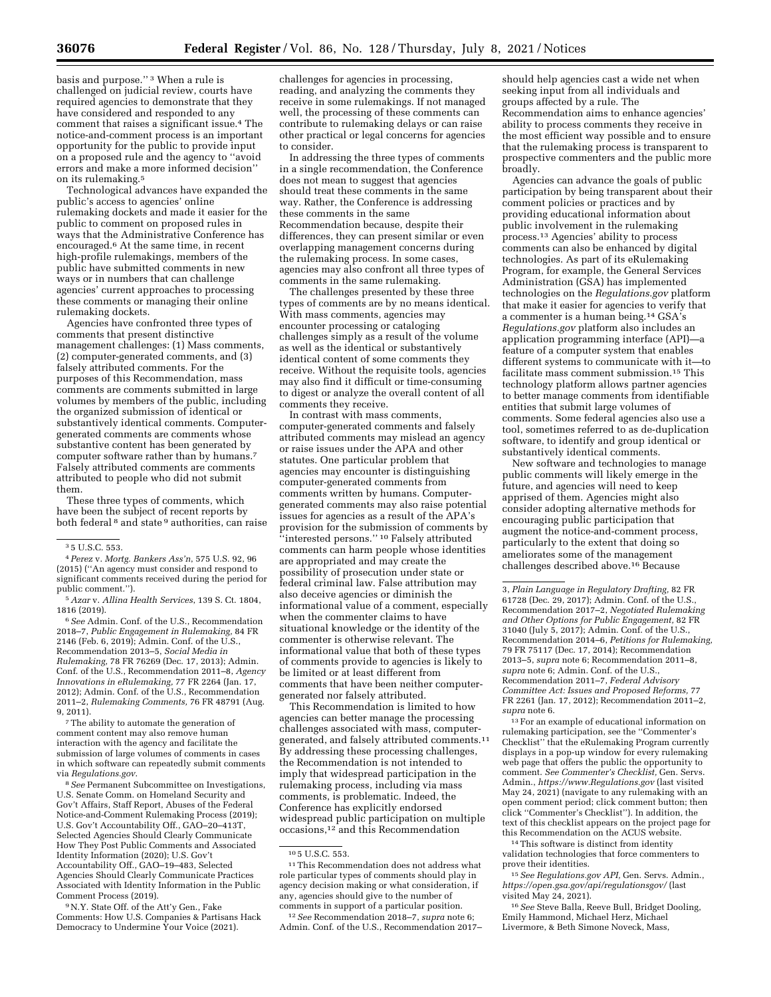basis and purpose.'' 3 When a rule is challenged on judicial review, courts have required agencies to demonstrate that they have considered and responded to any comment that raises a significant issue.4 The notice-and-comment process is an important opportunity for the public to provide input

on a proposed rule and the agency to ''avoid errors and make a more informed decision'' on its rulemaking.5 Technological advances have expanded the

public's access to agencies' online rulemaking dockets and made it easier for the public to comment on proposed rules in ways that the Administrative Conference has encouraged.6 At the same time, in recent high-profile rulemakings, members of the public have submitted comments in new ways or in numbers that can challenge agencies' current approaches to processing these comments or managing their online rulemaking dockets.

Agencies have confronted three types of comments that present distinctive management challenges: (1) Mass comments, (2) computer-generated comments, and (3) falsely attributed comments. For the purposes of this Recommendation, mass comments are comments submitted in large volumes by members of the public, including the organized submission of identical or substantively identical comments. Computergenerated comments are comments whose substantive content has been generated by computer software rather than by humans.7 Falsely attributed comments are comments attributed to people who did not submit them.

These three types of comments, which have been the subject of recent reports by both federal 8 and state 9 authorities, can raise

4*Perez* v. *Mortg. Bankers Ass'n*, 575 U.S. 92, 96 (2015) (''An agency must consider and respond to significant comments received during the period for public comment.'').

5*Azar* v. *Allina Health Services*, 139 S. Ct. 1804, 1816 (2019).

6*See* Admin. Conf. of the U.S., Recommendation 2018–7, *Public Engagement in Rulemaking,* 84 FR 2146 (Feb. 6, 2019); Admin. Conf. of the U.S., Recommendation 2013–5, *Social Media in Rulemaking,* 78 FR 76269 (Dec. 17, 2013); Admin. Conf. of the U.S., Recommendation 2011–8, *Agency Innovations in eRulemaking,* 77 FR 2264 (Jan. 17, 2012); Admin. Conf. of the U.S., Recommendation 2011–2, *Rulemaking Comments,* 76 FR 48791 (Aug. 9, 2011).

7The ability to automate the generation of comment content may also remove human interaction with the agency and facilitate the submission of large volumes of comments in cases in which software can repeatedly submit comments via *Regulations.gov*.

8*See* Permanent Subcommittee on Investigations, U.S. Senate Comm. on Homeland Security and Gov't Affairs, Staff Report, Abuses of the Federal Notice-and-Comment Rulemaking Process (2019); U.S. Gov't Accountability Off., GAO–20–413T, Selected Agencies Should Clearly Communicate How They Post Public Comments and Associated Identity Information (2020); U.S. Gov't Accountability Off., GAO–19–483, Selected Agencies Should Clearly Communicate Practices Associated with Identity Information in the Public Comment Process (2019).

9N.Y. State Off. of the Att'y Gen., Fake Comments: How U.S. Companies & Partisans Hack Democracy to Undermine Your Voice (2021).

challenges for agencies in processing, reading, and analyzing the comments they receive in some rulemakings. If not managed well, the processing of these comments can contribute to rulemaking delays or can raise other practical or legal concerns for agencies to consider.

In addressing the three types of comments in a single recommendation, the Conference does not mean to suggest that agencies should treat these comments in the same way. Rather, the Conference is addressing these comments in the same Recommendation because, despite their differences, they can present similar or even overlapping management concerns during the rulemaking process. In some cases, agencies may also confront all three types of comments in the same rulemaking.

The challenges presented by these three types of comments are by no means identical. With mass comments, agencies may encounter processing or cataloging challenges simply as a result of the volume as well as the identical or substantively identical content of some comments they receive. Without the requisite tools, agencies may also find it difficult or time-consuming to digest or analyze the overall content of all comments they receive.

In contrast with mass comments, computer-generated comments and falsely attributed comments may mislead an agency or raise issues under the APA and other statutes. One particular problem that agencies may encounter is distinguishing computer-generated comments from comments written by humans. Computergenerated comments may also raise potential issues for agencies as a result of the APA's provision for the submission of comments by ''interested persons.'' 10 Falsely attributed comments can harm people whose identities are appropriated and may create the possibility of prosecution under state or federal criminal law. False attribution may also deceive agencies or diminish the informational value of a comment, especially when the commenter claims to have situational knowledge or the identity of the commenter is otherwise relevant. The informational value that both of these types of comments provide to agencies is likely to be limited or at least different from comments that have been neither computergenerated nor falsely attributed.

This Recommendation is limited to how agencies can better manage the processing challenges associated with mass, computergenerated, and falsely attributed comments.11 By addressing these processing challenges, the Recommendation is not intended to imply that widespread participation in the rulemaking process, including via mass comments, is problematic. Indeed, the Conference has explicitly endorsed widespread public participation on multiple occasions,12 and this Recommendation

 $^{\rm 11}$  This Recommendation does not address what role particular types of comments should play in agency decision making or what consideration, if any, agencies should give to the number of comments in support of a particular position.

12*See* Recommendation 2018–7, *supra* note 6; Admin. Conf. of the U.S., Recommendation 2017–

should help agencies cast a wide net when seeking input from all individuals and groups affected by a rule. The Recommendation aims to enhance agencies' ability to process comments they receive in the most efficient way possible and to ensure that the rulemaking process is transparent to prospective commenters and the public more broadly.

Agencies can advance the goals of public participation by being transparent about their comment policies or practices and by providing educational information about public involvement in the rulemaking process.13 Agencies' ability to process comments can also be enhanced by digital technologies. As part of its eRulemaking Program, for example, the General Services Administration (GSA) has implemented technologies on the *Regulations.gov* platform that make it easier for agencies to verify that a commenter is a human being.14 GSA's *Regulations.gov* platform also includes an application programming interface (API)—a feature of a computer system that enables different systems to communicate with it—to facilitate mass comment submission.15 This technology platform allows partner agencies to better manage comments from identifiable entities that submit large volumes of comments. Some federal agencies also use a tool, sometimes referred to as de-duplication software, to identify and group identical or substantively identical comments.

New software and technologies to manage public comments will likely emerge in the future, and agencies will need to keep apprised of them. Agencies might also consider adopting alternative methods for encouraging public participation that augment the notice-and-comment process, particularly to the extent that doing so ameliorates some of the management challenges described above.16 Because

3, *Plain Language in Regulatory Drafting,* 82 FR 61728 (Dec. 29, 2017); Admin. Conf. of the U.S., Recommendation 2017–2, *Negotiated Rulemaking and Other Options for Public Engagement,* 82 FR 31040 (July 5, 2017); Admin. Conf. of the U.S., Recommendation 2014–6, *Petitions for Rulemaking,*  79 FR 75117 (Dec. 17, 2014); Recommendation 2013–5, *supra* note 6; Recommendation 2011–8, *supra* note 6; Admin. Conf. of the U.S., Recommendation 2011–7, *Federal Advisory Committee Act: Issues and Proposed Reforms,* 77 FR 2261 (Jan. 17, 2012); Recommendation 2011–2, *supra* note 6.

13For an example of educational information on rulemaking participation, see the ''Commenter's Checklist'' that the eRulemaking Program currently displays in a pop-up window for every rulemaking web page that offers the public the opportunity to comment. *See Commenter's Checklist,* Gen. Servs. Admin., *<https://www.Regulations.gov>*(last visited May 24, 2021) (navigate to any rulemaking with an open comment period; click comment button; then click ''Commenter's Checklist''). In addition, the text of this checklist appears on the project page for this Recommendation on the ACUS website.

14This software is distinct from identity validation technologies that force commenters to prove their identities.

15*See Regulations.gov API,* Gen. Servs. Admin., *<https://open.gsa.gov/api/regulationsgov/>*(last visited May 24, 2021).

16*See* Steve Balla, Reeve Bull, Bridget Dooling, Emily Hammond, Michael Herz, Michael Livermore, & Beth Simone Noveck, Mass,

<sup>3</sup> 5 U.S.C. 553.

<sup>10</sup> 5 U.S.C. 553.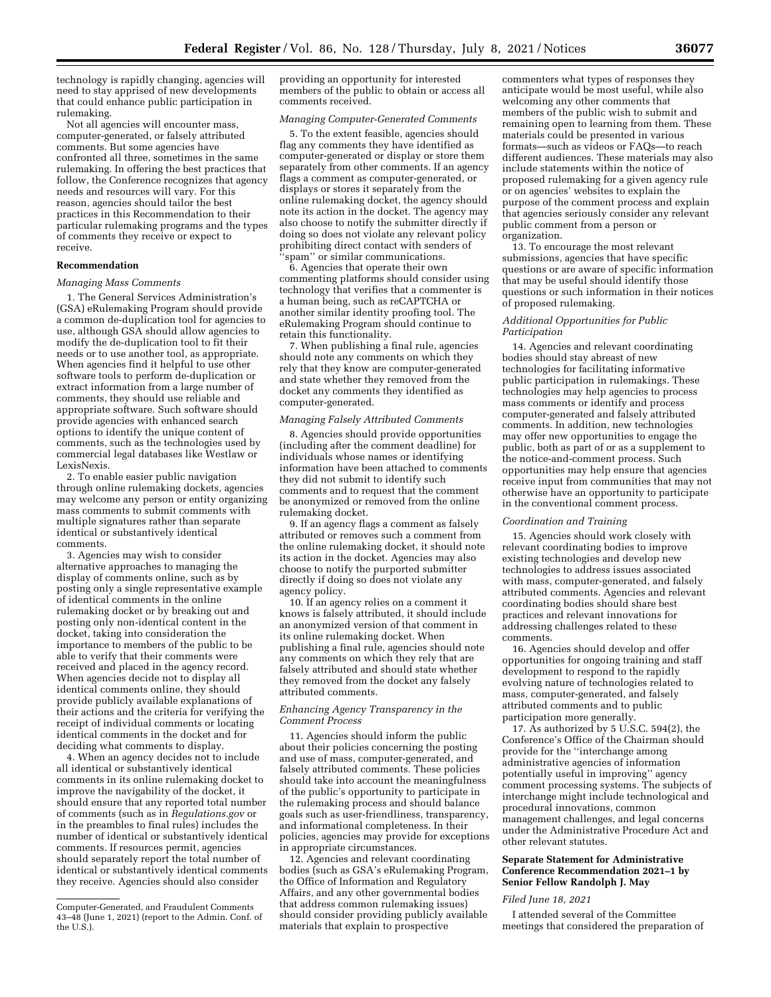technology is rapidly changing, agencies will need to stay apprised of new developments that could enhance public participation in rulemaking.

Not all agencies will encounter mass, computer-generated, or falsely attributed comments. But some agencies have confronted all three, sometimes in the same rulemaking. In offering the best practices that follow, the Conference recognizes that agency needs and resources will vary. For this reason, agencies should tailor the best practices in this Recommendation to their particular rulemaking programs and the types of comments they receive or expect to receive.

### **Recommendation**

### *Managing Mass Comments*

1. The General Services Administration's (GSA) eRulemaking Program should provide a common de-duplication tool for agencies to use, although GSA should allow agencies to modify the de-duplication tool to fit their needs or to use another tool, as appropriate. When agencies find it helpful to use other software tools to perform de-duplication or extract information from a large number of comments, they should use reliable and appropriate software. Such software should provide agencies with enhanced search options to identify the unique content of comments, such as the technologies used by commercial legal databases like Westlaw or LexisNexis.

2. To enable easier public navigation through online rulemaking dockets, agencies may welcome any person or entity organizing mass comments to submit comments with multiple signatures rather than separate identical or substantively identical comments.

3. Agencies may wish to consider alternative approaches to managing the display of comments online, such as by posting only a single representative example of identical comments in the online rulemaking docket or by breaking out and posting only non-identical content in the docket, taking into consideration the importance to members of the public to be able to verify that their comments were received and placed in the agency record. When agencies decide not to display all identical comments online, they should provide publicly available explanations of their actions and the criteria for verifying the receipt of individual comments or locating identical comments in the docket and for deciding what comments to display.

4. When an agency decides not to include all identical or substantively identical comments in its online rulemaking docket to improve the navigability of the docket, it should ensure that any reported total number of comments (such as in *Regulations.gov* or in the preambles to final rules) includes the number of identical or substantively identical comments. If resources permit, agencies should separately report the total number of identical or substantively identical comments they receive. Agencies should also consider

providing an opportunity for interested members of the public to obtain or access all comments received.

### *Managing Computer-Generated Comments*

5. To the extent feasible, agencies should flag any comments they have identified as computer-generated or display or store them separately from other comments. If an agency flags a comment as computer-generated, or displays or stores it separately from the online rulemaking docket, the agency should note its action in the docket. The agency may also choose to notify the submitter directly if doing so does not violate any relevant policy prohibiting direct contact with senders of 'spam'' or similar communications.

6. Agencies that operate their own commenting platforms should consider using technology that verifies that a commenter is a human being, such as reCAPTCHA or another similar identity proofing tool. The eRulemaking Program should continue to retain this functionality.

7. When publishing a final rule, agencies should note any comments on which they rely that they know are computer-generated and state whether they removed from the docket any comments they identified as computer-generated.

# *Managing Falsely Attributed Comments*

8. Agencies should provide opportunities (including after the comment deadline) for individuals whose names or identifying information have been attached to comments they did not submit to identify such comments and to request that the comment be anonymized or removed from the online rulemaking docket.

9. If an agency flags a comment as falsely attributed or removes such a comment from the online rulemaking docket, it should note its action in the docket. Agencies may also choose to notify the purported submitter directly if doing so does not violate any agency policy.

10. If an agency relies on a comment it knows is falsely attributed, it should include an anonymized version of that comment in its online rulemaking docket. When publishing a final rule, agencies should note any comments on which they rely that are falsely attributed and should state whether they removed from the docket any falsely attributed comments.

## *Enhancing Agency Transparency in the Comment Process*

11. Agencies should inform the public about their policies concerning the posting and use of mass, computer-generated, and falsely attributed comments. These policies should take into account the meaningfulness of the public's opportunity to participate in the rulemaking process and should balance goals such as user-friendliness, transparency, and informational completeness. In their policies, agencies may provide for exceptions in appropriate circumstances.

12. Agencies and relevant coordinating bodies (such as GSA's eRulemaking Program, the Office of Information and Regulatory Affairs, and any other governmental bodies that address common rulemaking issues) should consider providing publicly available materials that explain to prospective

commenters what types of responses they anticipate would be most useful, while also welcoming any other comments that members of the public wish to submit and remaining open to learning from them. These materials could be presented in various formats—such as videos or FAQs—to reach different audiences. These materials may also include statements within the notice of proposed rulemaking for a given agency rule or on agencies' websites to explain the purpose of the comment process and explain that agencies seriously consider any relevant public comment from a person or organization.

13. To encourage the most relevant submissions, agencies that have specific questions or are aware of specific information that may be useful should identify those questions or such information in their notices of proposed rulemaking.

### *Additional Opportunities for Public Participation*

14. Agencies and relevant coordinating bodies should stay abreast of new technologies for facilitating informative public participation in rulemakings. These technologies may help agencies to process mass comments or identify and process computer-generated and falsely attributed comments. In addition, new technologies may offer new opportunities to engage the public, both as part of or as a supplement to the notice-and-comment process. Such opportunities may help ensure that agencies receive input from communities that may not otherwise have an opportunity to participate in the conventional comment process.

### *Coordination and Training*

15. Agencies should work closely with relevant coordinating bodies to improve existing technologies and develop new technologies to address issues associated with mass, computer-generated, and falsely attributed comments. Agencies and relevant coordinating bodies should share best practices and relevant innovations for addressing challenges related to these comments.

16. Agencies should develop and offer opportunities for ongoing training and staff development to respond to the rapidly evolving nature of technologies related to mass, computer-generated, and falsely attributed comments and to public participation more generally.

17. As authorized by 5 U.S.C. 594(2), the Conference's Office of the Chairman should provide for the ''interchange among administrative agencies of information potentially useful in improving'' agency comment processing systems. The subjects of interchange might include technological and procedural innovations, common management challenges, and legal concerns under the Administrative Procedure Act and other relevant statutes.

### **Separate Statement for Administrative Conference Recommendation 2021–1 by Senior Fellow Randolph J. May**

### *Filed June 18, 2021*

I attended several of the Committee meetings that considered the preparation of

Computer-Generated, and Fraudulent Comments 43–48 (June 1, 2021) (report to the Admin. Conf. of the U.S.).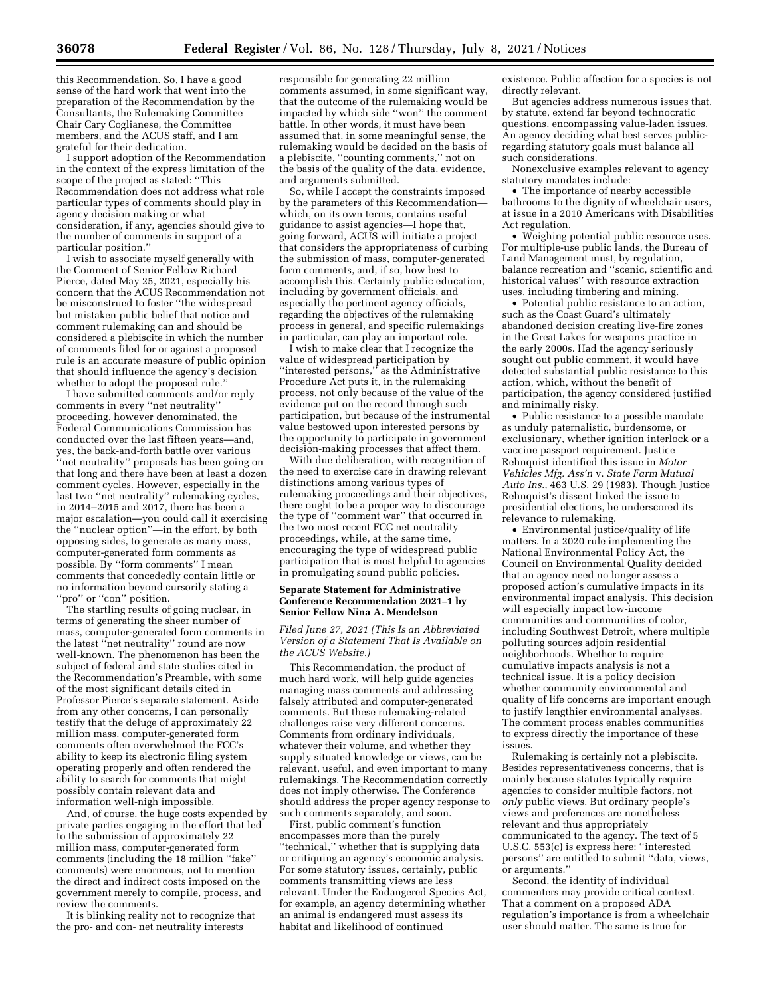this Recommendation. So, I have a good sense of the hard work that went into the preparation of the Recommendation by the Consultants, the Rulemaking Committee Chair Cary Coglianese, the Committee members, and the ACUS staff, and I am grateful for their dedication.

I support adoption of the Recommendation in the context of the express limitation of the scope of the project as stated: ''This Recommendation does not address what role particular types of comments should play in agency decision making or what consideration, if any, agencies should give to the number of comments in support of a particular position.''

I wish to associate myself generally with the Comment of Senior Fellow Richard Pierce, dated May 25, 2021, especially his concern that the ACUS Recommendation not be misconstrued to foster ''the widespread but mistaken public belief that notice and comment rulemaking can and should be considered a plebiscite in which the number of comments filed for or against a proposed rule is an accurate measure of public opinion that should influence the agency's decision whether to adopt the proposed rule.''

I have submitted comments and/or reply comments in every ''net neutrality'' proceeding, however denominated, the Federal Communications Commission has conducted over the last fifteen years—and, yes, the back-and-forth battle over various ''net neutrality'' proposals has been going on that long and there have been at least a dozen comment cycles. However, especially in the last two ''net neutrality'' rulemaking cycles, in 2014–2015 and 2017, there has been a major escalation—you could call it exercising the ''nuclear option''—in the effort, by both opposing sides, to generate as many mass, computer-generated form comments as possible. By ''form comments'' I mean comments that concededly contain little or no information beyond cursorily stating a "pro" or "con" position.

The startling results of going nuclear, in terms of generating the sheer number of mass, computer-generated form comments in the latest ''net neutrality'' round are now well-known. The phenomenon has been the subject of federal and state studies cited in the Recommendation's Preamble, with some of the most significant details cited in Professor Pierce's separate statement. Aside from any other concerns, I can personally testify that the deluge of approximately 22 million mass, computer-generated form comments often overwhelmed the FCC's ability to keep its electronic filing system operating properly and often rendered the ability to search for comments that might possibly contain relevant data and information well-nigh impossible.

And, of course, the huge costs expended by private parties engaging in the effort that led to the submission of approximately 22 million mass, computer-generated form comments (including the 18 million ''fake'' comments) were enormous, not to mention the direct and indirect costs imposed on the government merely to compile, process, and review the comments.

It is blinking reality not to recognize that the pro- and con- net neutrality interests

responsible for generating 22 million comments assumed, in some significant way, that the outcome of the rulemaking would be impacted by which side ''won'' the comment battle. In other words, it must have been assumed that, in some meaningful sense, the rulemaking would be decided on the basis of a plebiscite, ''counting comments,'' not on the basis of the quality of the data, evidence, and arguments submitted.

So, while I accept the constraints imposed by the parameters of this Recommendationwhich, on its own terms, contains useful guidance to assist agencies—I hope that, going forward, ACUS will initiate a project that considers the appropriateness of curbing the submission of mass, computer-generated form comments, and, if so, how best to accomplish this. Certainly public education, including by government officials, and especially the pertinent agency officials, regarding the objectives of the rulemaking process in general, and specific rulemakings in particular, can play an important role.

I wish to make clear that I recognize the value of widespread participation by ''interested persons,'' as the Administrative Procedure Act puts it, in the rulemaking process, not only because of the value of the evidence put on the record through such participation, but because of the instrumental value bestowed upon interested persons by the opportunity to participate in government decision-making processes that affect them.

With due deliberation, with recognition of the need to exercise care in drawing relevant distinctions among various types of rulemaking proceedings and their objectives, there ought to be a proper way to discourage the type of ''comment war'' that occurred in the two most recent FCC net neutrality proceedings, while, at the same time, encouraging the type of widespread public participation that is most helpful to agencies in promulgating sound public policies.

### **Separate Statement for Administrative Conference Recommendation 2021–1 by Senior Fellow Nina A. Mendelson**

*Filed June 27, 2021 (This Is an Abbreviated Version of a Statement That Is Available on the ACUS Website.)* 

This Recommendation, the product of much hard work, will help guide agencies managing mass comments and addressing falsely attributed and computer-generated comments. But these rulemaking-related challenges raise very different concerns. Comments from ordinary individuals, whatever their volume, and whether they supply situated knowledge or views, can be relevant, useful, and even important to many rulemakings. The Recommendation correctly does not imply otherwise. The Conference should address the proper agency response to such comments separately, and soon.

First, public comment's function encompasses more than the purely ''technical,'' whether that is supplying data or critiquing an agency's economic analysis. For some statutory issues, certainly, public comments transmitting views are less relevant. Under the Endangered Species Act, for example, an agency determining whether an animal is endangered must assess its habitat and likelihood of continued

existence. Public affection for a species is not directly relevant.

But agencies address numerous issues that, by statute, extend far beyond technocratic questions, encompassing value-laden issues. An agency deciding what best serves publicregarding statutory goals must balance all such considerations.

Nonexclusive examples relevant to agency statutory mandates include:

• The importance of nearby accessible bathrooms to the dignity of wheelchair users, at issue in a 2010 Americans with Disabilities Act regulation.

• Weighing potential public resource uses. For multiple-use public lands, the Bureau of Land Management must, by regulation, balance recreation and ''scenic, scientific and historical values'' with resource extraction uses, including timbering and mining.

• Potential public resistance to an action, such as the Coast Guard's ultimately abandoned decision creating live-fire zones in the Great Lakes for weapons practice in the early 2000s. Had the agency seriously sought out public comment, it would have detected substantial public resistance to this action, which, without the benefit of participation, the agency considered justified and minimally risky.

• Public resistance to a possible mandate as unduly paternalistic, burdensome, or exclusionary, whether ignition interlock or a vaccine passport requirement. Justice Rehnquist identified this issue in *Motor Vehicles Mfg. Ass'n* v. *State Farm Mutual Auto Ins.,* 463 U.S. 29 (1983). Though Justice Rehnquist's dissent linked the issue to presidential elections, he underscored its relevance to rulemaking.

• Environmental justice/quality of life matters. In a 2020 rule implementing the National Environmental Policy Act, the Council on Environmental Quality decided that an agency need no longer assess a proposed action's cumulative impacts in its environmental impact analysis. This decision will especially impact low-income communities and communities of color, including Southwest Detroit, where multiple polluting sources adjoin residential neighborhoods. Whether to require cumulative impacts analysis is not a technical issue. It is a policy decision whether community environmental and quality of life concerns are important enough to justify lengthier environmental analyses. The comment process enables communities to express directly the importance of these issues.

Rulemaking is certainly not a plebiscite. Besides representativeness concerns, that is mainly because statutes typically require agencies to consider multiple factors, not *only* public views. But ordinary people's views and preferences are nonetheless relevant and thus appropriately communicated to the agency. The text of 5 U.S.C. 553(c) is express here: ''interested persons'' are entitled to submit ''data, views, or arguments.''

Second, the identity of individual commenters may provide critical context. That a comment on a proposed ADA regulation's importance is from a wheelchair user should matter. The same is true for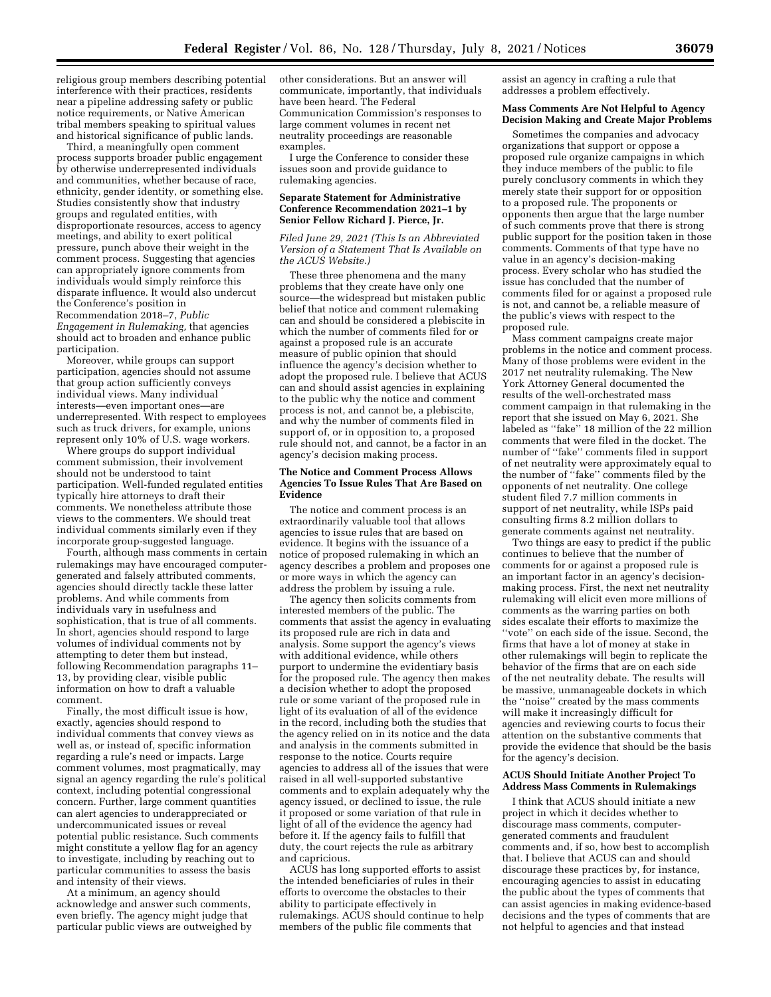religious group members describing potential interference with their practices, residents near a pipeline addressing safety or public notice requirements, or Native American tribal members speaking to spiritual values and historical significance of public lands.

Third, a meaningfully open comment process supports broader public engagement by otherwise underrepresented individuals and communities, whether because of race, ethnicity, gender identity, or something else. Studies consistently show that industry groups and regulated entities, with disproportionate resources, access to agency meetings, and ability to exert political pressure, punch above their weight in the comment process. Suggesting that agencies can appropriately ignore comments from individuals would simply reinforce this disparate influence. It would also undercut the Conference's position in Recommendation 2018–7, *Public Engagement in Rulemaking,* that agencies should act to broaden and enhance public participation.

Moreover, while groups can support participation, agencies should not assume that group action sufficiently conveys individual views. Many individual interests—even important ones—are underrepresented. With respect to employees such as truck drivers, for example, unions represent only 10% of U.S. wage workers.

Where groups do support individual comment submission, their involvement should not be understood to taint participation. Well-funded regulated entities typically hire attorneys to draft their comments. We nonetheless attribute those views to the commenters. We should treat individual comments similarly even if they incorporate group-suggested language.

Fourth, although mass comments in certain rulemakings may have encouraged computergenerated and falsely attributed comments, agencies should directly tackle these latter problems. And while comments from individuals vary in usefulness and sophistication, that is true of all comments. In short, agencies should respond to large volumes of individual comments not by attempting to deter them but instead, following Recommendation paragraphs 11– 13, by providing clear, visible public information on how to draft a valuable comment.

Finally, the most difficult issue is how, exactly, agencies should respond to individual comments that convey views as well as, or instead of, specific information regarding a rule's need or impacts. Large comment volumes, most pragmatically, may signal an agency regarding the rule's political context, including potential congressional concern. Further, large comment quantities can alert agencies to underappreciated or undercommunicated issues or reveal potential public resistance. Such comments might constitute a yellow flag for an agency to investigate, including by reaching out to particular communities to assess the basis and intensity of their views.

At a minimum, an agency should acknowledge and answer such comments, even briefly. The agency might judge that particular public views are outweighed by other considerations. But an answer will communicate, importantly, that individuals have been heard. The Federal Communication Commission's responses to large comment volumes in recent net neutrality proceedings are reasonable examples.

I urge the Conference to consider these issues soon and provide guidance to rulemaking agencies.

### **Separate Statement for Administrative Conference Recommendation 2021–1 by Senior Fellow Richard J. Pierce, Jr.**

*Filed June 29, 2021 (This Is an Abbreviated Version of a Statement That Is Available on the ACUS Website.)* 

These three phenomena and the many problems that they create have only one source—the widespread but mistaken public belief that notice and comment rulemaking can and should be considered a plebiscite in which the number of comments filed for or against a proposed rule is an accurate measure of public opinion that should influence the agency's decision whether to adopt the proposed rule. I believe that ACUS can and should assist agencies in explaining to the public why the notice and comment process is not, and cannot be, a plebiscite, and why the number of comments filed in support of, or in opposition to, a proposed rule should not, and cannot, be a factor in an agency's decision making process.

### **The Notice and Comment Process Allows Agencies To Issue Rules That Are Based on Evidence**

The notice and comment process is an extraordinarily valuable tool that allows agencies to issue rules that are based on evidence. It begins with the issuance of a notice of proposed rulemaking in which an agency describes a problem and proposes one or more ways in which the agency can address the problem by issuing a rule.

The agency then solicits comments from interested members of the public. The comments that assist the agency in evaluating its proposed rule are rich in data and analysis. Some support the agency's views with additional evidence, while others purport to undermine the evidentiary basis for the proposed rule. The agency then makes a decision whether to adopt the proposed rule or some variant of the proposed rule in light of its evaluation of all of the evidence in the record, including both the studies that the agency relied on in its notice and the data and analysis in the comments submitted in response to the notice. Courts require agencies to address all of the issues that were raised in all well-supported substantive comments and to explain adequately why the agency issued, or declined to issue, the rule it proposed or some variation of that rule in light of all of the evidence the agency had before it. If the agency fails to fulfill that duty, the court rejects the rule as arbitrary and capricious.

ACUS has long supported efforts to assist the intended beneficiaries of rules in their efforts to overcome the obstacles to their ability to participate effectively in rulemakings. ACUS should continue to help members of the public file comments that

assist an agency in crafting a rule that addresses a problem effectively.

### **Mass Comments Are Not Helpful to Agency Decision Making and Create Major Problems**

Sometimes the companies and advocacy organizations that support or oppose a proposed rule organize campaigns in which they induce members of the public to file purely conclusory comments in which they merely state their support for or opposition to a proposed rule. The proponents or opponents then argue that the large number of such comments prove that there is strong public support for the position taken in those comments. Comments of that type have no value in an agency's decision-making process. Every scholar who has studied the issue has concluded that the number of comments filed for or against a proposed rule is not, and cannot be, a reliable measure of the public's views with respect to the proposed rule.

Mass comment campaigns create major problems in the notice and comment process. Many of those problems were evident in the 2017 net neutrality rulemaking. The New York Attorney General documented the results of the well-orchestrated mass comment campaign in that rulemaking in the report that she issued on May 6, 2021. She labeled as ''fake'' 18 million of the 22 million comments that were filed in the docket. The number of ''fake'' comments filed in support of net neutrality were approximately equal to the number of ''fake'' comments filed by the opponents of net neutrality. One college student filed 7.7 million comments in support of net neutrality, while ISPs paid consulting firms 8.2 million dollars to generate comments against net neutrality.

Two things are easy to predict if the public continues to believe that the number of comments for or against a proposed rule is an important factor in an agency's decisionmaking process. First, the next net neutrality rulemaking will elicit even more millions of comments as the warring parties on both sides escalate their efforts to maximize the ''vote'' on each side of the issue. Second, the firms that have a lot of money at stake in other rulemakings will begin to replicate the behavior of the firms that are on each side of the net neutrality debate. The results will be massive, unmanageable dockets in which the "noise" created by the mass comments will make it increasingly difficult for agencies and reviewing courts to focus their attention on the substantive comments that provide the evidence that should be the basis for the agency's decision.

### **ACUS Should Initiate Another Project To Address Mass Comments in Rulemakings**

I think that ACUS should initiate a new project in which it decides whether to discourage mass comments, computergenerated comments and fraudulent comments and, if so, how best to accomplish that. I believe that ACUS can and should discourage these practices by, for instance, encouraging agencies to assist in educating the public about the types of comments that can assist agencies in making evidence-based decisions and the types of comments that are not helpful to agencies and that instead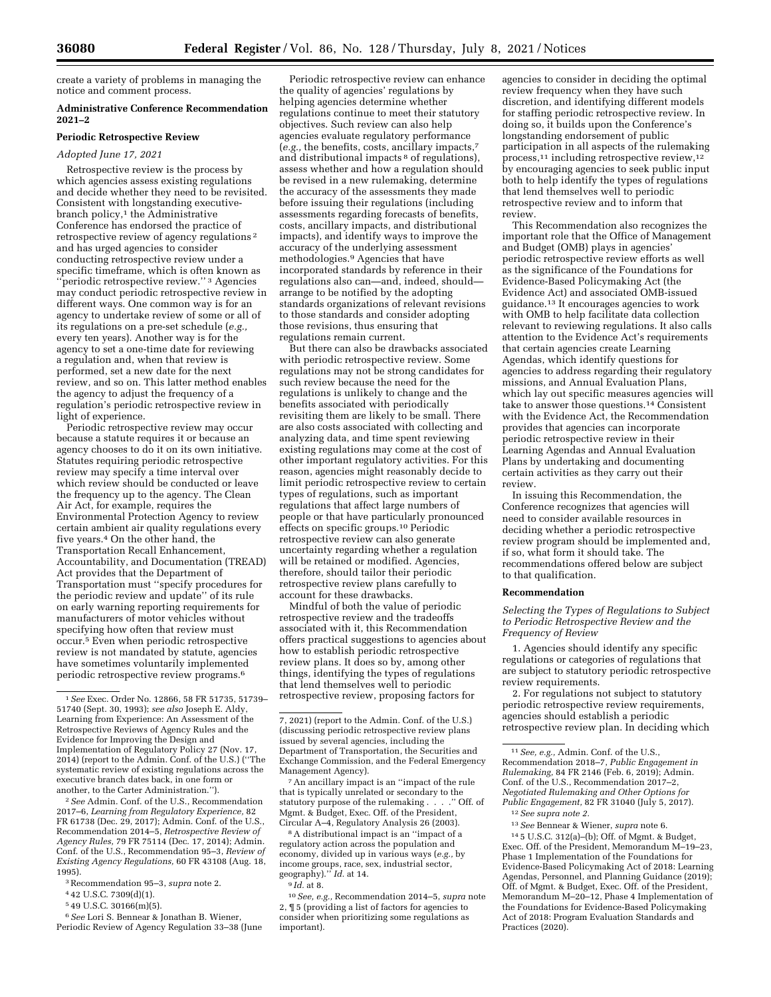create a variety of problems in managing the notice and comment process.

## **Administrative Conference Recommendation 2021–2**

## **Periodic Retrospective Review**

## *Adopted June 17, 2021*

Retrospective review is the process by which agencies assess existing regulations and decide whether they need to be revisited. Consistent with longstanding executivebranch policy,<sup>1</sup> the Administrative Conference has endorsed the practice of retrospective review of agency regulations 2 and has urged agencies to consider conducting retrospective review under a specific timeframe, which is often known as ''periodic retrospective review.'' 3 Agencies may conduct periodic retrospective review in different ways. One common way is for an agency to undertake review of some or all of its regulations on a pre-set schedule (*e.g.,*  every ten years). Another way is for the agency to set a one-time date for reviewing a regulation and, when that review is performed, set a new date for the next review, and so on. This latter method enables the agency to adjust the frequency of a regulation's periodic retrospective review in light of experience.

Periodic retrospective review may occur because a statute requires it or because an agency chooses to do it on its own initiative. Statutes requiring periodic retrospective review may specify a time interval over which review should be conducted or leave the frequency up to the agency. The Clean Air Act, for example, requires the Environmental Protection Agency to review certain ambient air quality regulations every five years.4 On the other hand, the Transportation Recall Enhancement, Accountability, and Documentation (TREAD) Act provides that the Department of Transportation must ''specify procedures for the periodic review and update'' of its rule on early warning reporting requirements for manufacturers of motor vehicles without specifying how often that review must occur.5 Even when periodic retrospective review is not mandated by statute, agencies have sometimes voluntarily implemented periodic retrospective review programs.6

2*See* Admin. Conf. of the U.S., Recommendation 2017–6, *Learning from Regulatory Experience,* 82 FR 61738 (Dec. 29, 2017); Admin. Conf. of the U.S., Recommendation 2014–5, *Retrospective Review of Agency Rules,* 79 FR 75114 (Dec. 17, 2014); Admin. Conf. of the U.S., Recommendation 95–3, *Review of Existing Agency Regulations,* 60 FR 43108 (Aug. 18, 1995).

3Recommendation 95–3, *supra* note 2.

4 42 U.S.C. 7309(d)(1).

5 49 U.S.C. 30166(m)(5).

6*See* Lori S. Bennear & Jonathan B. Wiener, Periodic Review of Agency Regulation 33–38 (June

Periodic retrospective review can enhance the quality of agencies' regulations by helping agencies determine whether regulations continue to meet their statutory objectives. Such review can also help agencies evaluate regulatory performance (*e.g.,* the benefits, costs, ancillary impacts,7 and distributional impacts 8 of regulations), assess whether and how a regulation should be revised in a new rulemaking, determine the accuracy of the assessments they made before issuing their regulations (including assessments regarding forecasts of benefits, costs, ancillary impacts, and distributional impacts), and identify ways to improve the accuracy of the underlying assessment methodologies.9 Agencies that have incorporated standards by reference in their regulations also can—and, indeed, should arrange to be notified by the adopting standards organizations of relevant revisions to those standards and consider adopting those revisions, thus ensuring that regulations remain current.

But there can also be drawbacks associated with periodic retrospective review. Some regulations may not be strong candidates for such review because the need for the regulations is unlikely to change and the benefits associated with periodically revisiting them are likely to be small. There are also costs associated with collecting and analyzing data, and time spent reviewing existing regulations may come at the cost of other important regulatory activities. For this reason, agencies might reasonably decide to limit periodic retrospective review to certain types of regulations, such as important regulations that affect large numbers of people or that have particularly pronounced effects on specific groups.10 Periodic retrospective review can also generate uncertainty regarding whether a regulation will be retained or modified. Agencies, therefore, should tailor their periodic retrospective review plans carefully to account for these drawbacks.

Mindful of both the value of periodic retrospective review and the tradeoffs associated with it, this Recommendation offers practical suggestions to agencies about how to establish periodic retrospective review plans. It does so by, among other things, identifying the types of regulations that lend themselves well to periodic retrospective review, proposing factors for

7An ancillary impact is an ''impact of the rule that is typically unrelated or secondary to the statutory purpose of the rulemaking . . . . " Off. of statutory purpose of the rulemaking . Mgmt. & Budget, Exec. Off. of the President, Circular A–4, Regulatory Analysis 26 (2003).

8A distributional impact is an ''impact of a regulatory action across the population and economy, divided up in various ways (*e.g.,* by income groups, race, sex, industrial sector, geography).'' *Id.* at 14.

10*See, e.g.,* Recommendation 2014–5, *supra* note 2, ¶ 5 (providing a list of factors for agencies to consider when prioritizing some regulations as important).

agencies to consider in deciding the optimal review frequency when they have such discretion, and identifying different models for staffing periodic retrospective review. In doing so, it builds upon the Conference's longstanding endorsement of public participation in all aspects of the rulemaking process,11 including retrospective review,12 by encouraging agencies to seek public input both to help identify the types of regulations that lend themselves well to periodic retrospective review and to inform that review.

This Recommendation also recognizes the important role that the Office of Management and Budget (OMB) plays in agencies' periodic retrospective review efforts as well as the significance of the Foundations for Evidence-Based Policymaking Act (the Evidence Act) and associated OMB-issued guidance.13 It encourages agencies to work with OMB to help facilitate data collection relevant to reviewing regulations. It also calls attention to the Evidence Act's requirements that certain agencies create Learning Agendas, which identify questions for agencies to address regarding their regulatory missions, and Annual Evaluation Plans, which lay out specific measures agencies will take to answer those questions.14 Consistent with the Evidence Act, the Recommendation provides that agencies can incorporate periodic retrospective review in their Learning Agendas and Annual Evaluation Plans by undertaking and documenting certain activities as they carry out their review.

In issuing this Recommendation, the Conference recognizes that agencies will need to consider available resources in deciding whether a periodic retrospective review program should be implemented and, if so, what form it should take. The recommendations offered below are subject to that qualification.

## **Recommendation**

*Selecting the Types of Regulations to Subject to Periodic Retrospective Review and the Frequency of Review* 

1. Agencies should identify any specific regulations or categories of regulations that are subject to statutory periodic retrospective review requirements.

2. For regulations not subject to statutory periodic retrospective review requirements, agencies should establish a periodic retrospective review plan. In deciding which

13*See* Bennear & Wiener, *supra* note 6.

14 5 U.S.C. 312(a)–(b); Off. of Mgmt. & Budget, Exec. Off. of the President, Memorandum M–19–23, Phase 1 Implementation of the Foundations for Evidence-Based Policymaking Act of 2018: Learning Agendas, Personnel, and Planning Guidance (2019); Off. of Mgmt. & Budget, Exec. Off. of the President, Memorandum M–20–12, Phase 4 Implementation of the Foundations for Evidence-Based Policymaking Act of 2018: Program Evaluation Standards and Practices (2020).

<sup>1</sup>*See* Exec. Order No. 12866, 58 FR 51735, 51739– 51740 (Sept. 30, 1993); *see also* Joseph E. Aldy, Learning from Experience: An Assessment of the Retrospective Reviews of Agency Rules and the Evidence for Improving the Design and Implementation of Regulatory Policy 27 (Nov. 17, 2014) (report to the Admin. Conf. of the U.S.) (''The systematic review of existing regulations across the executive branch dates back, in one form or another, to the Carter Administration.'').

<sup>7, 2021) (</sup>report to the Admin. Conf. of the U.S.) (discussing periodic retrospective review plans issued by several agencies, including the Department of Transportation, the Securities and Exchange Commission, and the Federal Emergency Management Agency).

<sup>9</sup> *Id.* at 8.

<sup>11</sup>*See, e.g.,* Admin. Conf. of the U.S., Recommendation 2018–7, *Public Engagement in Rulemaking,* 84 FR 2146 (Feb. 6, 2019); Admin. Conf. of the U.S., Recommendation 2017–2, *Negotiated Rulemaking and Other Options for Public Engagement,* 82 FR 31040 (July 5, 2017).

<sup>12</sup>*See supra note 2.*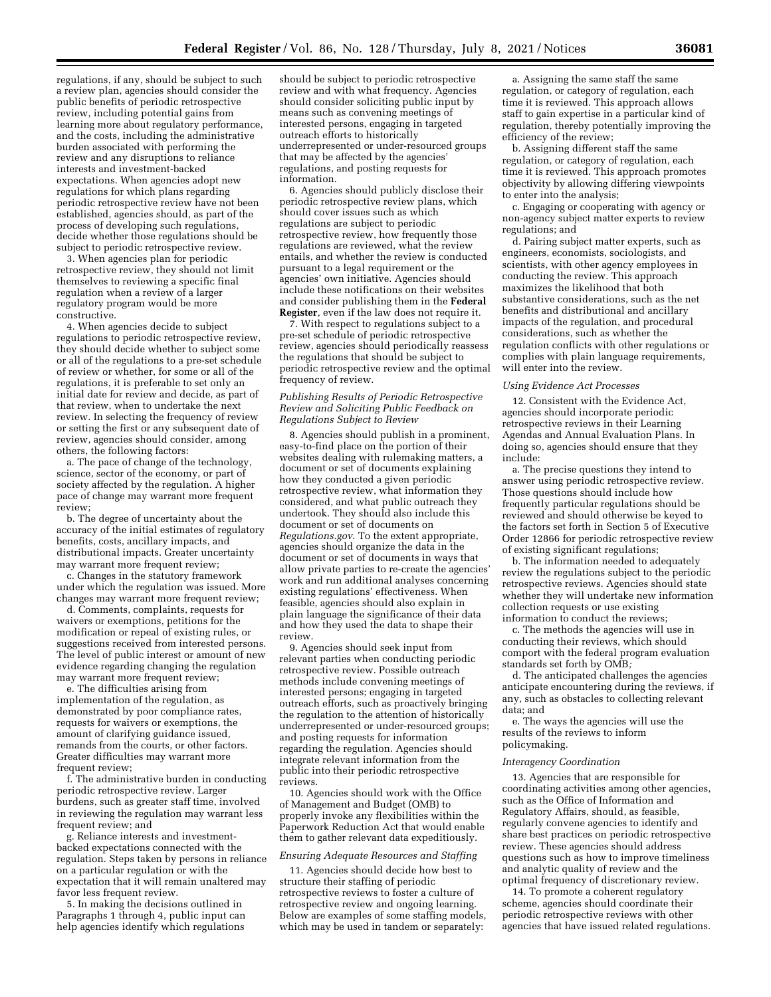regulations, if any, should be subject to such a review plan, agencies should consider the public benefits of periodic retrospective review, including potential gains from learning more about regulatory performance, and the costs, including the administrative burden associated with performing the review and any disruptions to reliance interests and investment-backed expectations. When agencies adopt new regulations for which plans regarding periodic retrospective review have not been established, agencies should, as part of the process of developing such regulations, decide whether those regulations should be subject to periodic retrospective review.

3. When agencies plan for periodic retrospective review, they should not limit themselves to reviewing a specific final regulation when a review of a larger regulatory program would be more constructive.

4. When agencies decide to subject regulations to periodic retrospective review, they should decide whether to subject some or all of the regulations to a pre-set schedule of review or whether, for some or all of the regulations, it is preferable to set only an initial date for review and decide, as part of that review, when to undertake the next review. In selecting the frequency of review or setting the first or any subsequent date of review, agencies should consider, among others, the following factors:

a. The pace of change of the technology, science, sector of the economy, or part of society affected by the regulation. A higher pace of change may warrant more frequent review;

b. The degree of uncertainty about the accuracy of the initial estimates of regulatory benefits, costs, ancillary impacts, and distributional impacts. Greater uncertainty may warrant more frequent review;

c. Changes in the statutory framework under which the regulation was issued. More changes may warrant more frequent review;

d. Comments, complaints, requests for waivers or exemptions, petitions for the modification or repeal of existing rules, or suggestions received from interested persons. The level of public interest or amount of new evidence regarding changing the regulation may warrant more frequent review;

e. The difficulties arising from implementation of the regulation, as demonstrated by poor compliance rates, requests for waivers or exemptions, the amount of clarifying guidance issued, remands from the courts, or other factors. Greater difficulties may warrant more frequent review;

f. The administrative burden in conducting periodic retrospective review. Larger burdens, such as greater staff time, involved in reviewing the regulation may warrant less frequent review; and

g. Reliance interests and investmentbacked expectations connected with the regulation. Steps taken by persons in reliance on a particular regulation or with the expectation that it will remain unaltered may favor less frequent review.

5. In making the decisions outlined in Paragraphs 1 through 4, public input can help agencies identify which regulations

should be subject to periodic retrospective review and with what frequency. Agencies should consider soliciting public input by means such as convening meetings of interested persons, engaging in targeted outreach efforts to historically underrepresented or under-resourced groups that may be affected by the agencies' regulations, and posting requests for information.

6. Agencies should publicly disclose their periodic retrospective review plans, which should cover issues such as which regulations are subject to periodic retrospective review, how frequently those regulations are reviewed, what the review entails, and whether the review is conducted pursuant to a legal requirement or the agencies' own initiative. Agencies should include these notifications on their websites and consider publishing them in the **Federal Register***,* even if the law does not require it.

7. With respect to regulations subject to a pre-set schedule of periodic retrospective review, agencies should periodically reassess the regulations that should be subject to periodic retrospective review and the optimal frequency of review.

## *Publishing Results of Periodic Retrospective Review and Soliciting Public Feedback on Regulations Subject to Review*

8. Agencies should publish in a prominent, easy-to-find place on the portion of their websites dealing with rulemaking matters, a document or set of documents explaining how they conducted a given periodic retrospective review, what information they considered, and what public outreach they undertook. They should also include this document or set of documents on *Regulations.gov*. To the extent appropriate, agencies should organize the data in the document or set of documents in ways that allow private parties to re-create the agencies' work and run additional analyses concerning existing regulations' effectiveness. When feasible, agencies should also explain in plain language the significance of their data and how they used the data to shape their review.

9. Agencies should seek input from relevant parties when conducting periodic retrospective review. Possible outreach methods include convening meetings of interested persons; engaging in targeted outreach efforts, such as proactively bringing the regulation to the attention of historically underrepresented or under-resourced groups; and posting requests for information regarding the regulation. Agencies should integrate relevant information from the public into their periodic retrospective reviews.

10. Agencies should work with the Office of Management and Budget (OMB) to properly invoke any flexibilities within the Paperwork Reduction Act that would enable them to gather relevant data expeditiously.

### *Ensuring Adequate Resources and Staffing*

11. Agencies should decide how best to structure their staffing of periodic retrospective reviews to foster a culture of retrospective review and ongoing learning. Below are examples of some staffing models, which may be used in tandem or separately:

a. Assigning the same staff the same regulation, or category of regulation, each time it is reviewed. This approach allows staff to gain expertise in a particular kind of regulation, thereby potentially improving the efficiency of the review;

b. Assigning different staff the same regulation, or category of regulation, each time it is reviewed. This approach promotes objectivity by allowing differing viewpoints to enter into the analysis;

c. Engaging or cooperating with agency or non-agency subject matter experts to review regulations; and

d. Pairing subject matter experts, such as engineers, economists, sociologists, and scientists, with other agency employees in conducting the review. This approach maximizes the likelihood that both substantive considerations, such as the net benefits and distributional and ancillary impacts of the regulation, and procedural considerations, such as whether the regulation conflicts with other regulations or complies with plain language requirements, will enter into the review.

### *Using Evidence Act Processes*

12. Consistent with the Evidence Act, agencies should incorporate periodic retrospective reviews in their Learning Agendas and Annual Evaluation Plans. In doing so, agencies should ensure that they include:

a. The precise questions they intend to answer using periodic retrospective review. Those questions should include how frequently particular regulations should be reviewed and should otherwise be keyed to the factors set forth in Section 5 of Executive Order 12866 for periodic retrospective review of existing significant regulations;

b. The information needed to adequately review the regulations subject to the periodic retrospective reviews. Agencies should state whether they will undertake new information collection requests or use existing information to conduct the reviews;

c. The methods the agencies will use in conducting their reviews, which should comport with the federal program evaluation standards set forth by OMB*;* 

d. The anticipated challenges the agencies anticipate encountering during the reviews, if any, such as obstacles to collecting relevant data; and

e. The ways the agencies will use the results of the reviews to inform policymaking.

## *Interagency Coordination*

13. Agencies that are responsible for coordinating activities among other agencies, such as the Office of Information and Regulatory Affairs, should, as feasible, regularly convene agencies to identify and share best practices on periodic retrospective review. These agencies should address questions such as how to improve timeliness and analytic quality of review and the optimal frequency of discretionary review.

14. To promote a coherent regulatory scheme, agencies should coordinate their periodic retrospective reviews with other agencies that have issued related regulations.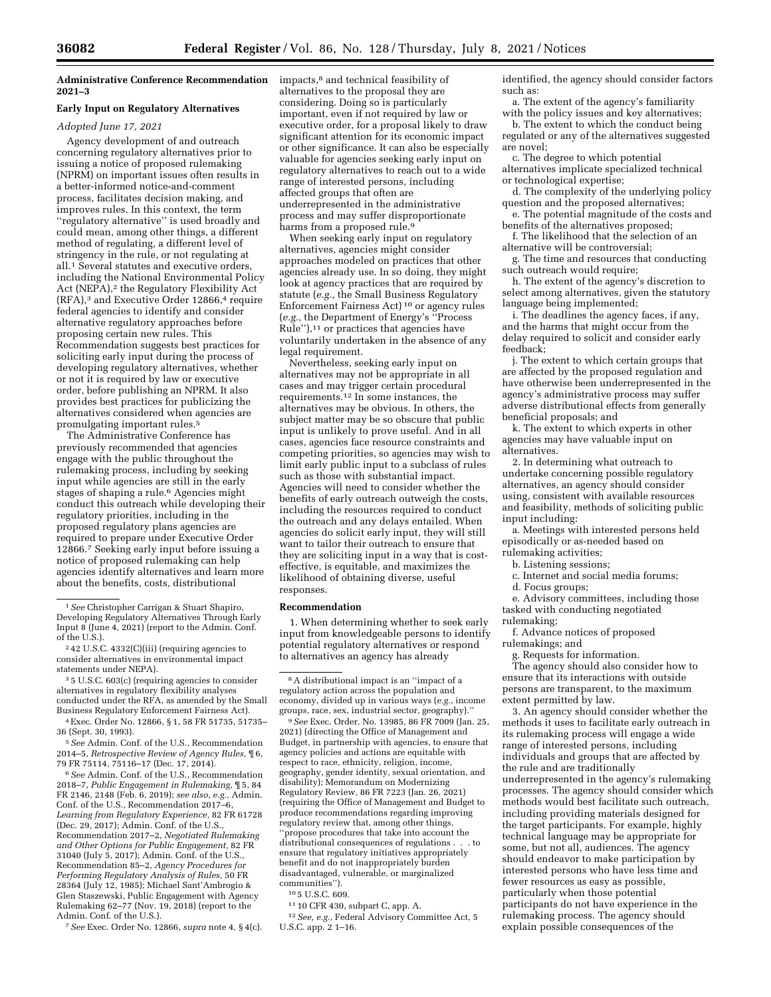**Administrative Conference Recommendation 2021–3** 

# **Early Input on Regulatory Alternatives**

### *Adopted June 17, 2021*

Agency development of and outreach concerning regulatory alternatives prior to issuing a notice of proposed rulemaking (NPRM) on important issues often results in a better-informed notice-and-comment process, facilitates decision making, and improves rules. In this context, the term ''regulatory alternative'' is used broadly and could mean, among other things, a different method of regulating, a different level of stringency in the rule, or not regulating at all.1 Several statutes and executive orders, including the National Environmental Policy Act (NEPA),<sup>2</sup> the Regulatory Flexibility Act (RFA),3 and Executive Order 12866,4 require federal agencies to identify and consider alternative regulatory approaches before proposing certain new rules. This Recommendation suggests best practices for soliciting early input during the process of developing regulatory alternatives, whether or not it is required by law or executive order, before publishing an NPRM. It also provides best practices for publicizing the alternatives considered when agencies are promulgating important rules.5

The Administrative Conference has previously recommended that agencies engage with the public throughout the rulemaking process, including by seeking input while agencies are still in the early stages of shaping a rule.<sup>6</sup> Agencies might conduct this outreach while developing their regulatory priorities, including in the proposed regulatory plans agencies are required to prepare under Executive Order 12866.7 Seeking early input before issuing a notice of proposed rulemaking can help agencies identify alternatives and learn more about the benefits, costs, distributional

3 5 U.S.C. 603(c) (requiring agencies to consider alternatives in regulatory flexibility analyses conducted under the RFA, as amended by the Small Business Regulatory Enforcement Fairness Act).

4Exec. Order No. 12866, § 1, 58 FR 51735, 51735– 36 (Sept. 30, 1993).

5*See* Admin. Conf. of the U.S., Recommendation 2014–5, *Retrospective Review of Agency Rules,* ¶ 6, 79 FR 75114, 75116–17 (Dec. 17, 2014).

6*See* Admin. Conf. of the U.S., Recommendation 2018–7, *Public Engagement in Rulemaking,* ¶ 5, 84 FR 2146, 2148 (Feb. 6, 2019); *see also, e.g.,* Admin. Conf. of the U.S., Recommendation 2017–6, *Learning from Regulatory Experience,* 82 FR 61728 (Dec. 29, 2017); Admin. Conf. of the U.S., Recommendation 2017–2, *Negotiated Rulemaking and Other Options for Public Engagement,* 82 FR 31040 (July 5, 2017); Admin. Conf. of the U.S., Recommendation 85–2, *Agency Procedures for Performing Regulatory Analysis of Rules,* 50 FR 28364 (July 12, 1985); Michael Sant'Ambrogio & Glen Staszewski, Public Engagement with Agency Rulemaking 62–77 (Nov. 19, 2018) (report to the Admin. Conf. of the U.S.).

7*See* Exec. Order No. 12866, *supra* note 4, § 4(c).

impacts,8 and technical feasibility of alternatives to the proposal they are considering. Doing so is particularly important, even if not required by law or executive order, for a proposal likely to draw significant attention for its economic impact or other significance. It can also be especially valuable for agencies seeking early input on regulatory alternatives to reach out to a wide range of interested persons, including affected groups that often are underrepresented in the administrative process and may suffer disproportionate harms from a proposed rule.<sup>9</sup>

When seeking early input on regulatory alternatives, agencies might consider approaches modeled on practices that other agencies already use. In so doing, they might look at agency practices that are required by statute (*e.g.,* the Small Business Regulatory Enforcement Fairness Act) 10 or agency rules (*e.g.,* the Department of Energy's ''Process Rule"),<sup>11</sup> or practices that agencies have voluntarily undertaken in the absence of any legal requirement.

Nevertheless, seeking early input on alternatives may not be appropriate in all cases and may trigger certain procedural requirements.12 In some instances, the alternatives may be obvious. In others, the subject matter may be so obscure that public input is unlikely to prove useful. And in all cases, agencies face resource constraints and competing priorities, so agencies may wish to limit early public input to a subclass of rules such as those with substantial impact. Agencies will need to consider whether the benefits of early outreach outweigh the costs, including the resources required to conduct the outreach and any delays entailed. When agencies do solicit early input, they will still want to tailor their outreach to ensure that they are soliciting input in a way that is costeffective, is equitable, and maximizes the likelihood of obtaining diverse, useful responses.

## **Recommendation**

1. When determining whether to seek early input from knowledgeable persons to identify potential regulatory alternatives or respond to alternatives an agency has already

9*See* Exec. Order. No. 13985, 86 FR 7009 (Jan. 25, 2021) (directing the Office of Management and Budget, in partnership with agencies, to ensure that agency policies and actions are equitable with respect to race, ethnicity, religion, income, geography, gender identity, sexual orientation, and disability); Memorandum on Modernizing Regulatory Review, 86 FR 7223 (Jan. 26, 2021) (requiring the Office of Management and Budget to produce recommendations regarding improving regulatory review that, among other things, ''propose procedures that take into account the distributional consequences of regulations . . . to ensure that regulatory initiatives appropriately benefit and do not inappropriately burden disadvantaged, vulnerable, or marginalized communities'').

10 5 U.S.C. 609.

11 10 CFR 430, subpart C, app. A.

12*See, e.g.,* Federal Advisory Committee Act, 5 U.S.C. app. 2 1–16.

identified, the agency should consider factors such as:

a. The extent of the agency's familiarity with the policy issues and key alternatives;

b. The extent to which the conduct being regulated or any of the alternatives suggested are novel;

c. The degree to which potential alternatives implicate specialized technical or technological expertise;

d. The complexity of the underlying policy question and the proposed alternatives;

e. The potential magnitude of the costs and benefits of the alternatives proposed;

f. The likelihood that the selection of an alternative will be controversial;

g. The time and resources that conducting such outreach would require;

h. The extent of the agency's discretion to select among alternatives, given the statutory language being implemented;

i. The deadlines the agency faces, if any, and the harms that might occur from the delay required to solicit and consider early feedback;

j. The extent to which certain groups that are affected by the proposed regulation and have otherwise been underrepresented in the agency's administrative process may suffer adverse distributional effects from generally beneficial proposals; and

k. The extent to which experts in other agencies may have valuable input on alternatives.

2. In determining what outreach to undertake concerning possible regulatory alternatives, an agency should consider using, consistent with available resources and feasibility, methods of soliciting public input including:

a. Meetings with interested persons held episodically or as-needed based on

rulemaking activities;

b. Listening sessions;

c. Internet and social media forums;

d. Focus groups;

e. Advisory committees, including those tasked with conducting negotiated

rulemaking; f. Advance notices of proposed

rulemakings; and

g. Requests for information.

The agency should also consider how to ensure that its interactions with outside persons are transparent, to the maximum extent permitted by law.

3. An agency should consider whether the methods it uses to facilitate early outreach in its rulemaking process will engage a wide range of interested persons, including individuals and groups that are affected by the rule and are traditionally underrepresented in the agency's rulemaking processes. The agency should consider which methods would best facilitate such outreach, including providing materials designed for the target participants. For example, highly technical language may be appropriate for some, but not all, audiences. The agency should endeavor to make participation by interested persons who have less time and fewer resources as easy as possible, particularly when those potential participants do not have experience in the rulemaking process. The agency should explain possible consequences of the

<sup>1</sup>*See* Christopher Carrigan & Stuart Shapiro, Developing Regulatory Alternatives Through Early Input 8 (June 4, 2021) (report to the Admin. Conf. of the U.S.).

<sup>2</sup> 42 U.S.C. 4332(C)(iii) (requiring agencies to consider alternatives in environmental impact statements under NEPA).

<sup>8</sup>A distributional impact is an ''impact of a regulatory action across the population and economy, divided up in various ways (*e.g.,* income groups, race, sex, industrial sector, geography).''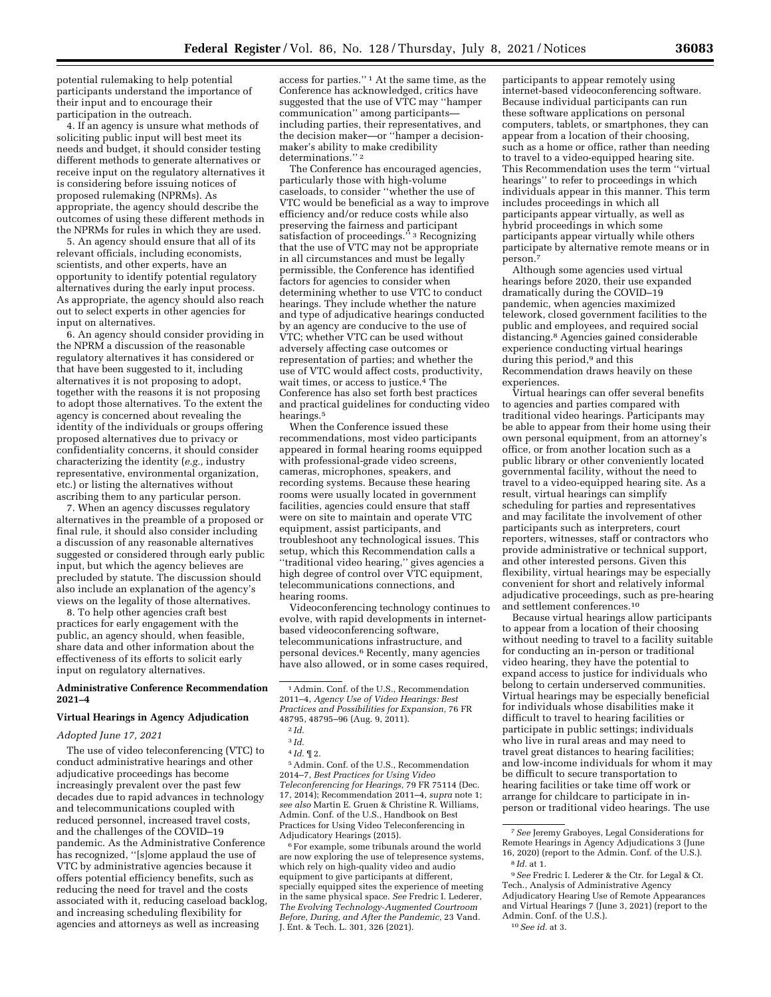potential rulemaking to help potential participants understand the importance of their input and to encourage their participation in the outreach.

4. If an agency is unsure what methods of soliciting public input will best meet its needs and budget, it should consider testing different methods to generate alternatives or receive input on the regulatory alternatives it is considering before issuing notices of proposed rulemaking (NPRMs). As appropriate, the agency should describe the outcomes of using these different methods in the NPRMs for rules in which they are used.

5. An agency should ensure that all of its relevant officials, including economists, scientists, and other experts, have an opportunity to identify potential regulatory alternatives during the early input process. As appropriate, the agency should also reach out to select experts in other agencies for input on alternatives.

6. An agency should consider providing in the NPRM a discussion of the reasonable regulatory alternatives it has considered or that have been suggested to it, including alternatives it is not proposing to adopt, together with the reasons it is not proposing to adopt those alternatives. To the extent the agency is concerned about revealing the identity of the individuals or groups offering proposed alternatives due to privacy or confidentiality concerns, it should consider characterizing the identity (*e.g.,* industry representative, environmental organization, etc.) or listing the alternatives without ascribing them to any particular person.

7. When an agency discusses regulatory alternatives in the preamble of a proposed or final rule, it should also consider including a discussion of any reasonable alternatives suggested or considered through early public input, but which the agency believes are precluded by statute. The discussion should also include an explanation of the agency's views on the legality of those alternatives.

8. To help other agencies craft best practices for early engagement with the public, an agency should, when feasible, share data and other information about the effectiveness of its efforts to solicit early input on regulatory alternatives.

### **Administrative Conference Recommendation 2021–4**

## **Virtual Hearings in Agency Adjudication**

# *Adopted June 17, 2021*

The use of video teleconferencing (VTC) to conduct administrative hearings and other adjudicative proceedings has become increasingly prevalent over the past few decades due to rapid advances in technology and telecommunications coupled with reduced personnel, increased travel costs, and the challenges of the COVID–19 pandemic. As the Administrative Conference has recognized, ''[s]ome applaud the use of VTC by administrative agencies because it offers potential efficiency benefits, such as reducing the need for travel and the costs associated with it, reducing caseload backlog, and increasing scheduling flexibility for agencies and attorneys as well as increasing

access for parties.'' 1 At the same time, as the Conference has acknowledged, critics have suggested that the use of VTC may ''hamper communication'' among participants including parties, their representatives, and the decision maker—or ''hamper a decisionmaker's ability to make credibility determinations.'' 2

The Conference has encouraged agencies, particularly those with high-volume caseloads, to consider ''whether the use of VTC would be beneficial as a way to improve efficiency and/or reduce costs while also preserving the fairness and participant satisfaction of proceedings." 3 Recognizing that the use of VTC may not be appropriate in all circumstances and must be legally permissible, the Conference has identified factors for agencies to consider when determining whether to use VTC to conduct hearings. They include whether the nature and type of adjudicative hearings conducted by an agency are conducive to the use of VTC; whether VTC can be used without adversely affecting case outcomes or representation of parties; and whether the use of VTC would affect costs, productivity, wait times, or access to justice. $4$  The Conference has also set forth best practices and practical guidelines for conducting video hearings.5

When the Conference issued these recommendations, most video participants appeared in formal hearing rooms equipped with professional-grade video screens, cameras, microphones, speakers, and recording systems. Because these hearing rooms were usually located in government facilities, agencies could ensure that staff were on site to maintain and operate VTC equipment, assist participants, and troubleshoot any technological issues. This setup, which this Recommendation calls a ''traditional video hearing,'' gives agencies a high degree of control over VTC equipment, telecommunications connections, and hearing rooms.

Videoconferencing technology continues to evolve, with rapid developments in internetbased videoconferencing software, telecommunications infrastructure, and personal devices.6 Recently, many agencies have also allowed, or in some cases required,

5Admin. Conf. of the U.S., Recommendation 2014–7, *Best Practices for Using Video Teleconferencing for Hearings,* 79 FR 75114 (Dec. 17, 2014); Recommendation 2011–4, *supra* note 1; *see also* Martin E. Gruen & Christine R. Williams, Admin. Conf. of the U.S., Handbook on Best Practices for Using Video Teleconferencing in Adjudicatory Hearings (2015).

6For example, some tribunals around the world are now exploring the use of telepresence systems, which rely on high-quality video and audio equipment to give participants at different, specially equipped sites the experience of meeting in the same physical space. *See* Fredric I. Lederer, *The Evolving Technology-Augmented Courtroom Before, During, and After the Pandemic,* 23 Vand. J. Ent. & Tech. L. 301, 326 (2021).

participants to appear remotely using internet-based videoconferencing software. Because individual participants can run these software applications on personal computers, tablets, or smartphones, they can appear from a location of their choosing, such as a home or office, rather than needing to travel to a video-equipped hearing site. This Recommendation uses the term ''virtual hearings'' to refer to proceedings in which individuals appear in this manner. This term includes proceedings in which all participants appear virtually, as well as hybrid proceedings in which some participants appear virtually while others participate by alternative remote means or in person.<sup>7</sup>

Although some agencies used virtual hearings before 2020, their use expanded dramatically during the COVID–19 pandemic, when agencies maximized telework, closed government facilities to the public and employees, and required social distancing.8 Agencies gained considerable experience conducting virtual hearings during this period,<sup>9</sup> and this Recommendation draws heavily on these experiences.

Virtual hearings can offer several benefits to agencies and parties compared with traditional video hearings. Participants may be able to appear from their home using their own personal equipment, from an attorney's office, or from another location such as a public library or other conveniently located governmental facility, without the need to travel to a video-equipped hearing site. As a result, virtual hearings can simplify scheduling for parties and representatives and may facilitate the involvement of other participants such as interpreters, court reporters, witnesses, staff or contractors who provide administrative or technical support, and other interested persons. Given this flexibility, virtual hearings may be especially convenient for short and relatively informal adjudicative proceedings, such as pre-hearing and settlement conferences.10

Because virtual hearings allow participants to appear from a location of their choosing without needing to travel to a facility suitable for conducting an in-person or traditional video hearing, they have the potential to expand access to justice for individuals who belong to certain underserved communities. Virtual hearings may be especially beneficial for individuals whose disabilities make it difficult to travel to hearing facilities or participate in public settings; individuals who live in rural areas and may need to travel great distances to hearing facilities; and low-income individuals for whom it may be difficult to secure transportation to hearing facilities or take time off work or arrange for childcare to participate in inperson or traditional video hearings. The use

<sup>1</sup>Admin. Conf. of the U.S., Recommendation 2011–4, *Agency Use of Video Hearings: Best Practices and Possibilities for Expansion,* 76 FR 48795, 48795–96 (Aug. 9, 2011).

<sup>2</sup> *Id.* 

<sup>3</sup> *Id.* 

<sup>4</sup> *Id.* ¶ 2.

<sup>7</sup>*See* Jeremy Graboyes, Legal Considerations for Remote Hearings in Agency Adjudications 3 (June 16, 2020) (report to the Admin. Conf. of the U.S.). 8 *Id.* at 1.

<sup>9</sup>*See* Fredric I. Lederer & the Ctr. for Legal & Ct. Tech., Analysis of Administrative Agency Adjudicatory Hearing Use of Remote Appearances and Virtual Hearings 7 (June 3, 2021) (report to the Admin. Conf. of the U.S.). 10*See id.* at 3.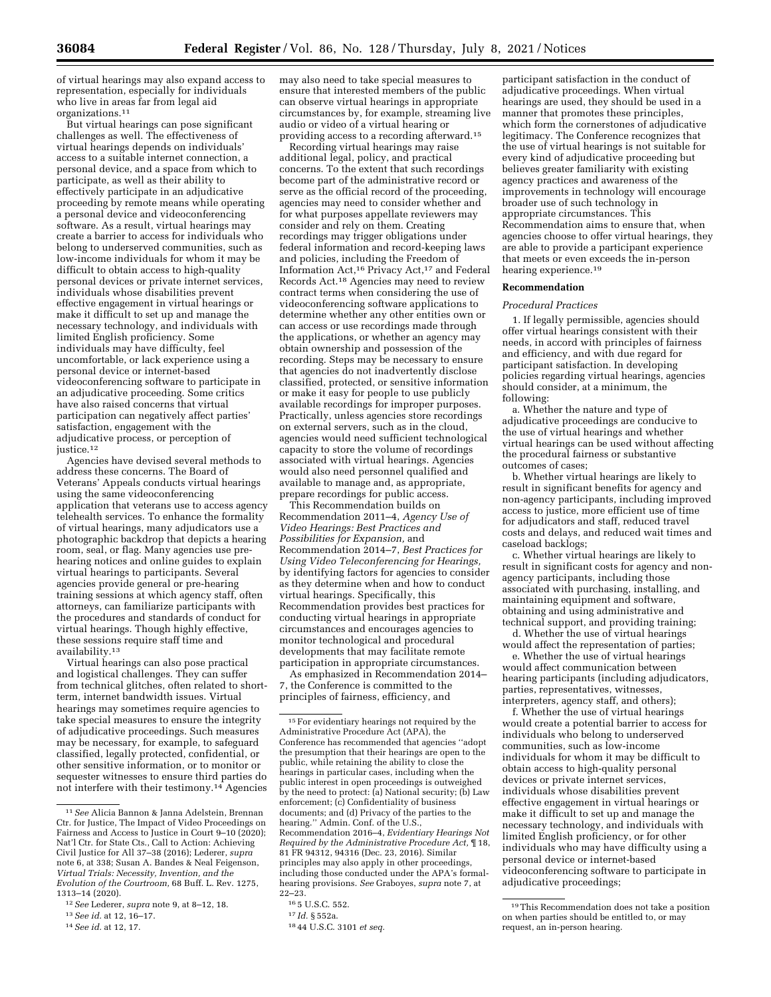of virtual hearings may also expand access to representation, especially for individuals who live in areas far from legal aid organizations.11

But virtual hearings can pose significant challenges as well. The effectiveness of virtual hearings depends on individuals' access to a suitable internet connection, a personal device, and a space from which to participate, as well as their ability to effectively participate in an adjudicative proceeding by remote means while operating a personal device and videoconferencing software. As a result, virtual hearings may create a barrier to access for individuals who belong to underserved communities, such as low-income individuals for whom it may be difficult to obtain access to high-quality personal devices or private internet services, individuals whose disabilities prevent effective engagement in virtual hearings or make it difficult to set up and manage the necessary technology, and individuals with limited English proficiency. Some individuals may have difficulty, feel uncomfortable, or lack experience using a personal device or internet-based videoconferencing software to participate in an adjudicative proceeding. Some critics have also raised concerns that virtual participation can negatively affect parties' satisfaction, engagement with the adjudicative process, or perception of justice.<sup>12</sup>

Agencies have devised several methods to address these concerns. The Board of Veterans' Appeals conducts virtual hearings using the same videoconferencing application that veterans use to access agency telehealth services. To enhance the formality of virtual hearings, many adjudicators use a photographic backdrop that depicts a hearing room, seal, or flag. Many agencies use prehearing notices and online guides to explain virtual hearings to participants. Several agencies provide general or pre-hearing training sessions at which agency staff, often attorneys, can familiarize participants with the procedures and standards of conduct for virtual hearings. Though highly effective, these sessions require staff time and availability.13

Virtual hearings can also pose practical and logistical challenges. They can suffer from technical glitches, often related to shortterm, internet bandwidth issues. Virtual hearings may sometimes require agencies to take special measures to ensure the integrity of adjudicative proceedings. Such measures may be necessary, for example, to safeguard classified, legally protected, confidential, or other sensitive information, or to monitor or sequester witnesses to ensure third parties do not interfere with their testimony.<sup>14</sup> Agencies

14*See id.* at 12, 17.

may also need to take special measures to ensure that interested members of the public can observe virtual hearings in appropriate circumstances by, for example, streaming live audio or video of a virtual hearing or providing access to a recording afterward.15

Recording virtual hearings may raise additional legal, policy, and practical concerns. To the extent that such recordings become part of the administrative record or serve as the official record of the proceeding, agencies may need to consider whether and for what purposes appellate reviewers may consider and rely on them. Creating recordings may trigger obligations under federal information and record-keeping laws and policies, including the Freedom of Information Act,16 Privacy Act,17 and Federal Records Act.18 Agencies may need to review contract terms when considering the use of videoconferencing software applications to determine whether any other entities own or can access or use recordings made through the applications, or whether an agency may obtain ownership and possession of the recording. Steps may be necessary to ensure that agencies do not inadvertently disclose classified, protected, or sensitive information or make it easy for people to use publicly available recordings for improper purposes. Practically, unless agencies store recordings on external servers, such as in the cloud, agencies would need sufficient technological capacity to store the volume of recordings associated with virtual hearings. Agencies would also need personnel qualified and available to manage and, as appropriate, prepare recordings for public access.

This Recommendation builds on Recommendation 2011–4, *Agency Use of Video Hearings: Best Practices and Possibilities for Expansion,* and Recommendation 2014–7, *Best Practices for Using Video Teleconferencing for Hearings,*  by identifying factors for agencies to consider as they determine when and how to conduct virtual hearings. Specifically, this Recommendation provides best practices for conducting virtual hearings in appropriate circumstances and encourages agencies to monitor technological and procedural developments that may facilitate remote participation in appropriate circumstances.

As emphasized in Recommendation 2014– 7, the Conference is committed to the principles of fairness, efficiency, and

participant satisfaction in the conduct of adjudicative proceedings. When virtual hearings are used, they should be used in a manner that promotes these principles, which form the cornerstones of adjudicative legitimacy. The Conference recognizes that the use of virtual hearings is not suitable for every kind of adjudicative proceeding but believes greater familiarity with existing agency practices and awareness of the improvements in technology will encourage broader use of such technology in appropriate circumstances. This Recommendation aims to ensure that, when agencies choose to offer virtual hearings, they are able to provide a participant experience that meets or even exceeds the in-person hearing experience.19

### **Recommendation**

## *Procedural Practices*

1. If legally permissible, agencies should offer virtual hearings consistent with their needs, in accord with principles of fairness and efficiency, and with due regard for participant satisfaction. In developing policies regarding virtual hearings, agencies should consider, at a minimum, the following:

a. Whether the nature and type of adjudicative proceedings are conducive to the use of virtual hearings and whether virtual hearings can be used without affecting the procedural fairness or substantive outcomes of cases;

b. Whether virtual hearings are likely to result in significant benefits for agency and non-agency participants, including improved access to justice, more efficient use of time for adjudicators and staff, reduced travel costs and delays, and reduced wait times and caseload backlogs;

c. Whether virtual hearings are likely to result in significant costs for agency and nonagency participants, including those associated with purchasing, installing, and maintaining equipment and software, obtaining and using administrative and technical support, and providing training;

d. Whether the use of virtual hearings would affect the representation of parties;

e. Whether the use of virtual hearings would affect communication between hearing participants (including adjudicators, parties, representatives, witnesses, interpreters, agency staff, and others);

f. Whether the use of virtual hearings would create a potential barrier to access for individuals who belong to underserved communities, such as low-income individuals for whom it may be difficult to obtain access to high-quality personal devices or private internet services, individuals whose disabilities prevent effective engagement in virtual hearings or make it difficult to set up and manage the necessary technology, and individuals with limited English proficiency, or for other individuals who may have difficulty using a personal device or internet-based videoconferencing software to participate in adjudicative proceedings;

<sup>11</sup>*See* Alicia Bannon & Janna Adelstein, Brennan Ctr. for Justice, The Impact of Video Proceedings on Fairness and Access to Justice in Court 9–10 (2020); Nat'l Ctr. for State Cts., Call to Action: Achieving Civil Justice for All 37–38 (2016); Lederer, *supra*  note 6, at 338; Susan A. Bandes & Neal Feigenson, *Virtual Trials: Necessity, Invention, and the Evolution of the Courtroom,* 68 Buff. L. Rev. 1275, 1313–14 (2020).

<sup>12</sup>*See* Lederer, *supra* note 9, at 8–12, 18.

<sup>13</sup>*See id.* at 12, 16–17.

<sup>&</sup>lt;sup>15</sup> For evidentiary hearings not required by the Administrative Procedure Act (APA), the Conference has recommended that agencies ''adopt the presumption that their hearings are open to the public, while retaining the ability to close the hearings in particular cases, including when the public interest in open proceedings is outweighed by the need to protect: (a) National security; (b) Law enforcement; (c) Confidentiality of business documents; and (d) Privacy of the parties to the hearing.'' Admin. Conf. of the U.S., Recommendation 2016–4, *Evidentiary Hearings Not Required by the Administrative Procedure Act,* ¶ 18, 81 FR 94312, 94316 (Dec. 23, 2016). Similar principles may also apply in other proceedings, including those conducted under the APA's formalhearing provisions. *See* Graboyes, *supra* note 7, at 22–23.

<sup>16</sup> 5 U.S.C. 552.

<sup>17</sup> *Id.* § 552a.

<sup>18</sup> 44 U.S.C. 3101 *et seq.* 

<sup>19</sup>This Recommendation does not take a position on when parties should be entitled to, or may request, an in-person hearing.